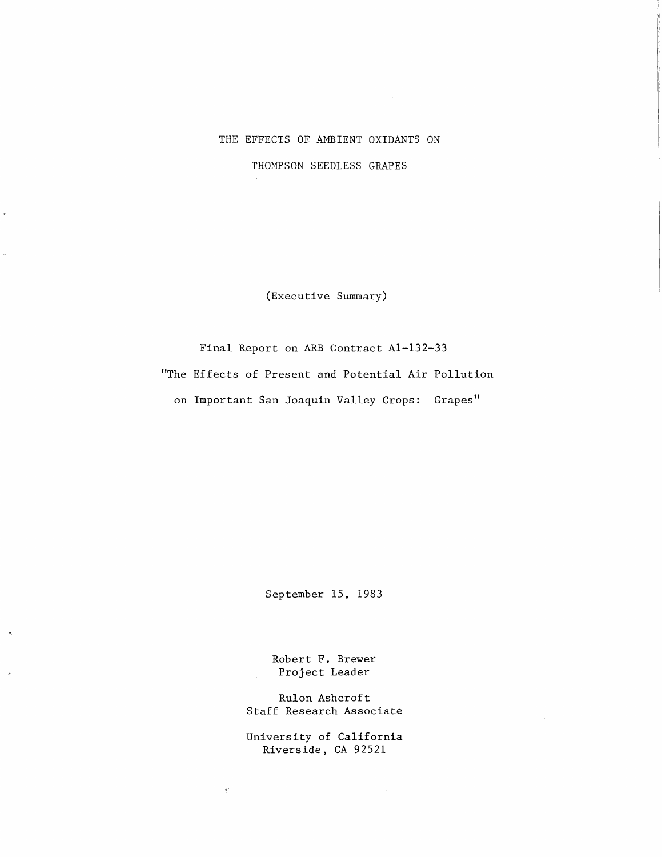## THE EFFECTS OF AMBIENT OXIDANTS ON

THOMPSON SEEDLESS GRAPES

 $\ddot{\phantom{0}}$ 

(Executive Summary)

Final Report on ARB Contract Al-132-33 "The Effects of Present and Potential Air Pollution on Important San Joaquin Valley Crops: Grapes"

September 15, 1983

Robert F. Brewer Project Leader

Rulon Ashcroft Staff Research Associate

University of California Riverside, CA 92521

 $\mathcal{C}^{\pm}$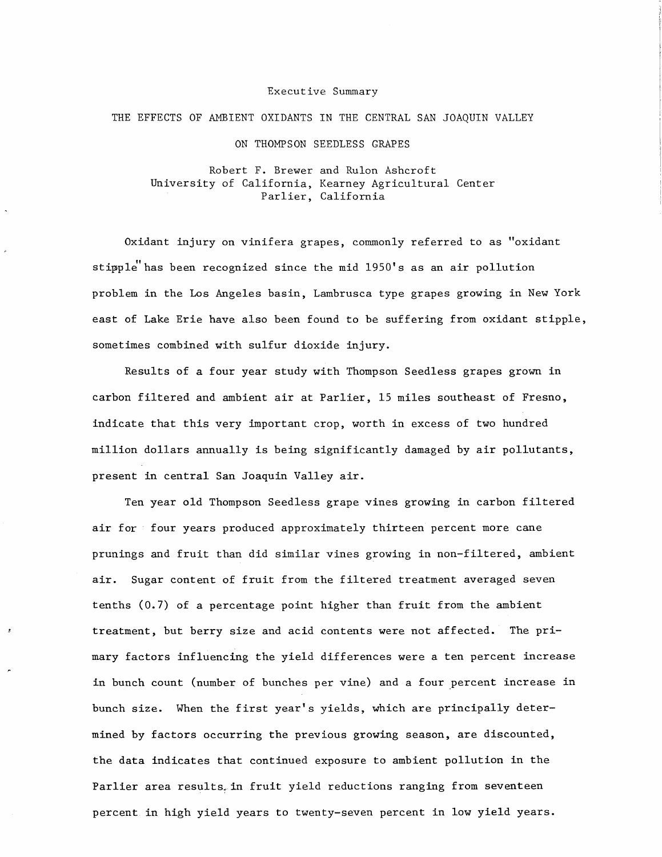## Executive Summary

## THE EFFECTS OF AMBIENT OXIDANTS IN THE CENTRAL SAN JOAQUIN VALLEY

ON THOMPSON SEEDLESS GRAPES

Robert F. Brewer and Rulon Ashcroft University of California, Kearney Agricultural Center Parlier, California

Oxidant injury on vinifera grapes, commonly referred to as "oxidant stipple has been recognized since the mid 1950's as an air pollution problem in the Los Angeles basin, Lambrusca type grapes growing in New York east of Lake Erie have also been found to be suffering from oxidant stipple, sometimes combined with sulfur dioxide injury.

Results of a four year study with Thompson Seedless grapes grown in carbon filtered and ambient air at Parlier, 15 miles southeast of Fresno, indicate that this very important crop, worth in excess of two hundred million dollars annually is being significantly damaged by air pollutants, present in central San Joaquin Valley air.

Ten year old Thompson Seedless grape vines growing in carbon filtered air for four years produced approximately thirteen percent more cane prunings and fruit than did similar vines growing in non-filtered, ambient air. Sugar content of fruit from the filtered treatment averaged seven tenths (0.7) of a percentage point higher than fruit from the ambient treatment, but berry size and acid contents were not affected. The primary factors influencing the yield differences were a ten percent increase in bunch count (number of bunches per vine) and a four percent increase in bunch size. When the first year's yields, which are principally determined by factors occurring the previous growing season, are discounted, the data indicates that continued exposure to ambient pollution in the Parlier area results in fruit yield reductions ranging from seventeen percent in high yield years to twenty-seven percent in low yield years.